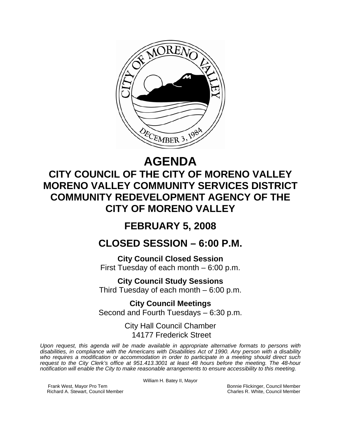

# **AGENDA**

# **CITY COUNCIL OF THE CITY OF MORENO VALLEY MORENO VALLEY COMMUNITY SERVICES DISTRICT COMMUNITY REDEVELOPMENT AGENCY OF THE CITY OF MORENO VALLEY**

## **FEBRUARY 5, 2008**

## **CLOSED SESSION – 6:00 P.M.**

**City Council Closed Session**  First Tuesday of each month – 6:00 p.m.

**City Council Study Sessions**  Third Tuesday of each month – 6:00 p.m.

**City Council Meetings**  Second and Fourth Tuesdays – 6:30 p.m.

> City Hall Council Chamber 14177 Frederick Street

*Upon request, this agenda will be made available in appropriate alternative formats to persons with disabilities, in compliance with the Americans with Disabilities Act of 1990. Any person with a disability who requires a modification or accommodation in order to participate in a meeting should direct such request to the City Clerk's office at 951.413.3001 at least 48 hours before the meeting. The 48-hour notification will enable the City to make reasonable arrangements to ensure accessibility to this meeting.* 

William H. Batey II, Mayor

Frank West, Mayor Pro Tem Bonnie Flickinger, Council Member<br>Richard A. Stewart, Council Member **Bonnie Flickinger, Council Member** Charles R. White, Council Member Richard A. Stewart, Council Member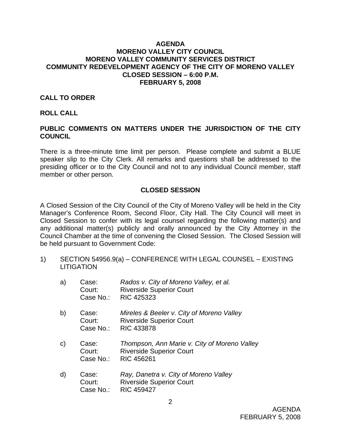#### **AGENDA MORENO VALLEY CITY COUNCIL MORENO VALLEY COMMUNITY SERVICES DISTRICT COMMUNITY REDEVELOPMENT AGENCY OF THE CITY OF MORENO VALLEY CLOSED SESSION – 6:00 P.M. FEBRUARY 5, 2008**

#### **CALL TO ORDER**

#### **ROLL CALL**

### **PUBLIC COMMENTS ON MATTERS UNDER THE JURISDICTION OF THE CITY COUNCIL**

There is a three-minute time limit per person. Please complete and submit a BLUE speaker slip to the City Clerk. All remarks and questions shall be addressed to the presiding officer or to the City Council and not to any individual Council member, staff member or other person.

#### **CLOSED SESSION**

A Closed Session of the City Council of the City of Moreno Valley will be held in the City Manager's Conference Room, Second Floor, City Hall. The City Council will meet in Closed Session to confer with its legal counsel regarding the following matter(s) and any additional matter(s) publicly and orally announced by the City Attorney in the Council Chamber at the time of convening the Closed Session. The Closed Session will be held pursuant to Government Code:

1) SECTION 54956.9(a) – CONFERENCE WITH LEGAL COUNSEL – EXISTING **LITIGATION** 

| a)           | Case:<br>Court:<br>Case No.: | Rados v. City of Moreno Valley, et al.<br><b>Riverside Superior Court</b><br><b>RIC 425323</b>    |
|--------------|------------------------------|---------------------------------------------------------------------------------------------------|
| b)           | Case:<br>Court:<br>Case No.: | Mireles & Beeler v. City of Moreno Valley<br><b>Riverside Superior Court</b><br><b>RIC 433878</b> |
| $\mathsf{C}$ | Case:<br>Court:<br>Case No.: | Thompson, Ann Marie v. City of Moreno Valley<br><b>Riverside Superior Court</b><br>RIC 456261     |
| $\mathsf{d}$ | Case:<br>Court:<br>Case No.: | Ray, Danetra v. City of Moreno Valley<br><b>Riverside Superior Court</b><br><b>RIC 459427</b>     |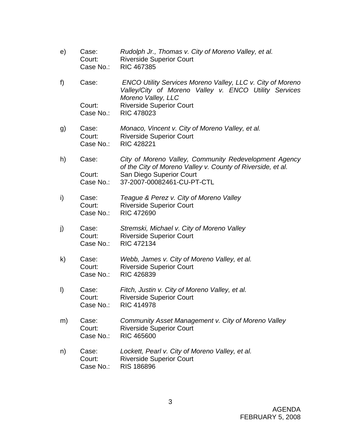- e) Case: *Rudolph Jr., Thomas v. City of Moreno Valley, et al.*  Court: Riverside Superior Court Case No.: RIC 467385
- f) Case: *ENCO Utility Services Moreno Valley, LLC v. City of Moreno Valley/City of Moreno Valley v. ENCO Utility Services Moreno Valley, LLC* Court: Riverside Superior Court Case No.: RIC 478023
- g) Case: *Monaco, Vincent v. City of Moreno Valley, et al.*  Court: Riverside Superior Court Case No.: RIC 428221
- h) Case: *City of Moreno Valley, Community Redevelopment Agency of the City of Moreno Valley v. County of Riverside, et al.*  Court: San Diego Superior Court Case No.: 37-2007-00082461-CU-PT-CTL
- i) Case: *Teague & Perez v. City of Moreno Valley*  Court: Riverside Superior Court Case No.: RIC 472690
- j) Case: *Stremski, Michael v. City of Moreno Valley* Court: Riverside Superior Court Case No.: RIC 472134
- k) Case: *Webb, James v. City of Moreno Valley, et al.*  Court: Riverside Superior Court Case No.: RIC 426839
- l) Case: *Fitch, Justin v. City of Moreno Valley, et al.*  Court: Riverside Superior Court Case No.: RIC 414978
- m) Case: *Community Asset Management v. City of Moreno Valley*  Court: Riverside Superior Court Case No.: RIC 465600
- n) Case: *Lockett, Pearl v. City of Moreno Valley, et al.*  Court: Riverside Superior Court Case No.: RIS 186896